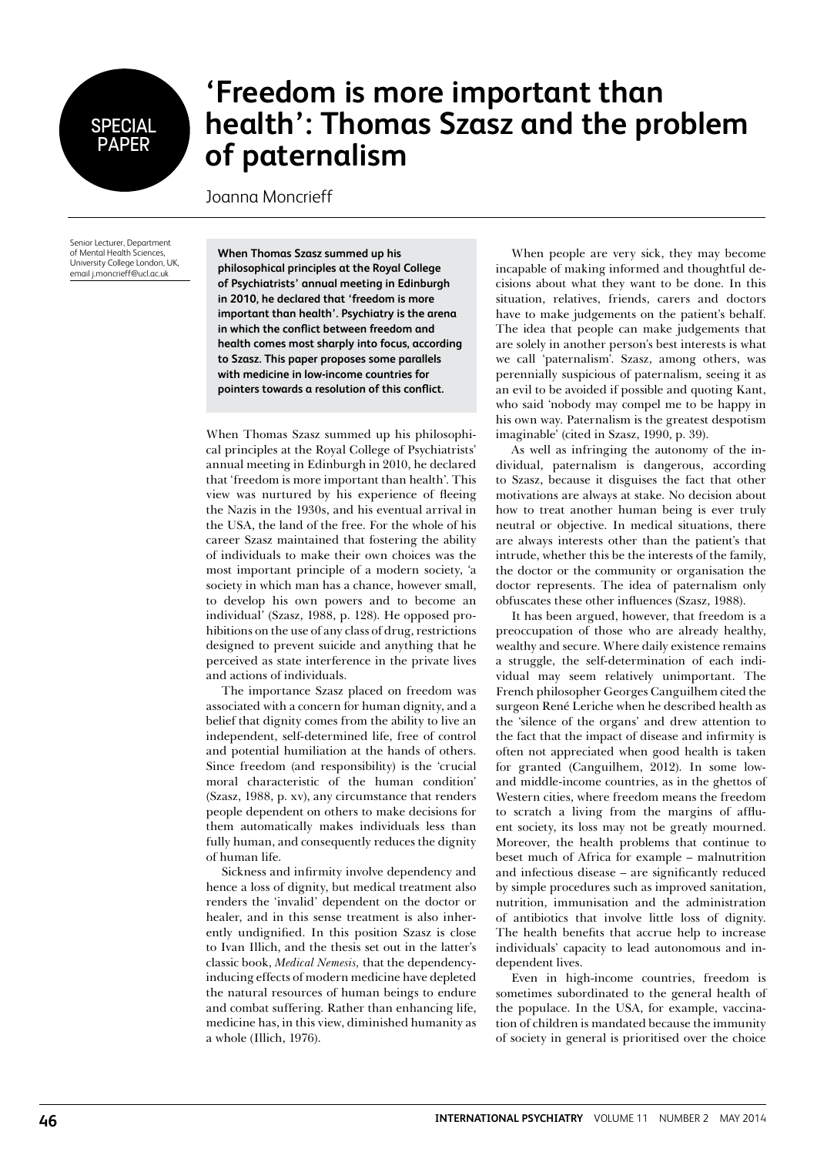## **SPECIAL PAPER**

## **'Freedom is more important than health': Thomas Szasz and the problem of paternalism**

Joanna Moncrieff

Senior Lecturer, Department of Mental Health Sciences, University College London, UK, email j.moncrieff@ucl.ac.uk

**When Thomas Szasz summed up his philosophical principles at the Royal College of Psychiatrists' annual meeting in Edinburgh in 2010, he declared that 'freedom is more important than health'. Psychiatry is the arena in which the conflict between freedom and health comes most sharply into focus, according to Szasz. This paper proposes some parallels with medicine in low-income countries for pointers towards a resolution of this conflict.** 

When Thomas Szasz summed up his philosophical principles at the Royal College of Psychiatrists' annual meeting in Edinburgh in 2010, he declared that 'freedom is more important than health'. This view was nurtured by his experience of fleeing the Nazis in the 1930s, and his eventual arrival in the USA, the land of the free. For the whole of his career Szasz maintained that fostering the ability of individuals to make their own choices was the most important principle of a modern society, 'a society in which man has a chance, however small, to develop his own powers and to become an individual' (Szasz, 1988, p. 128). He opposed prohibitions on the use of any class of drug, restrictions designed to prevent suicide and anything that he perceived as state interference in the private lives and actions of individuals.

The importance Szasz placed on freedom was associated with a concern for human dignity, and a belief that dignity comes from the ability to live an independent, self-determined life, free of control and potential humiliation at the hands of others. Since freedom (and responsibility) is the 'crucial moral characteristic of the human condition' (Szasz, 1988, p. xv), any circumstance that renders people dependent on others to make decisions for them automatically makes individuals less than fully human, and consequently reduces the dignity of human life.

Sickness and infirmity involve dependency and hence a loss of dignity, but medical treatment also renders the 'invalid' dependent on the doctor or healer, and in this sense treatment is also inherently undignified. In this position Szasz is close to Ivan Illich, and the thesis set out in the latter's classic book, *Medical Nemesis,* that the dependencyinducing effects of modern medicine have depleted the natural resources of human beings to endure and combat suffering. Rather than enhancing life, medicine has, in this view, diminished humanity as a whole (Illich, 1976).

When people are very sick, they may become incapable of making informed and thoughtful decisions about what they want to be done. In this situation, relatives, friends, carers and doctors have to make judgements on the patient's behalf. The idea that people can make judgements that are solely in another person's best interests is what we call 'paternalism'. Szasz, among others, was perennially suspicious of paternalism, seeing it as an evil to be avoided if possible and quoting Kant, who said 'nobody may compel me to be happy in his own way. Paternalism is the greatest despotism imaginable' (cited in Szasz, 1990, p. 39).

As well as infringing the autonomy of the individual, paternalism is dangerous, according to Szasz, because it disguises the fact that other motivations are always at stake. No decision about how to treat another human being is ever truly neutral or objective. In medical situations, there are always interests other than the patient's that intrude, whether this be the interests of the family, the doctor or the community or organisation the doctor represents. The idea of paternalism only obfuscates these other influences (Szasz, 1988).

It has been argued, however, that freedom is a preoccupation of those who are already healthy, wealthy and secure. Where daily existence remains a struggle, the self-determination of each individual may seem relatively unimportant. The French philosopher Georges Canguilhem cited the surgeon René Leriche when he described health as the 'silence of the organs' and drew attention to the fact that the impact of disease and infirmity is often not appreciated when good health is taken for granted (Canguilhem, 2012). In some lowand middle-income countries, as in the ghettos of Western cities, where freedom means the freedom to scratch a living from the margins of affluent society, its loss may not be greatly mourned. Moreover, the health problems that continue to beset much of Africa for example – malnutrition and infectious disease – are significantly reduced by simple procedures such as improved sanitation, nutrition, immunisation and the administration of antibiotics that involve little loss of dignity. The health benefits that accrue help to increase individuals' capacity to lead autonomous and independent lives.

Even in high-income countries, freedom is sometimes subordinated to the general health of the populace. In the USA, for example, vaccination of children is mandated because the immunity of society in general is prioritised over the choice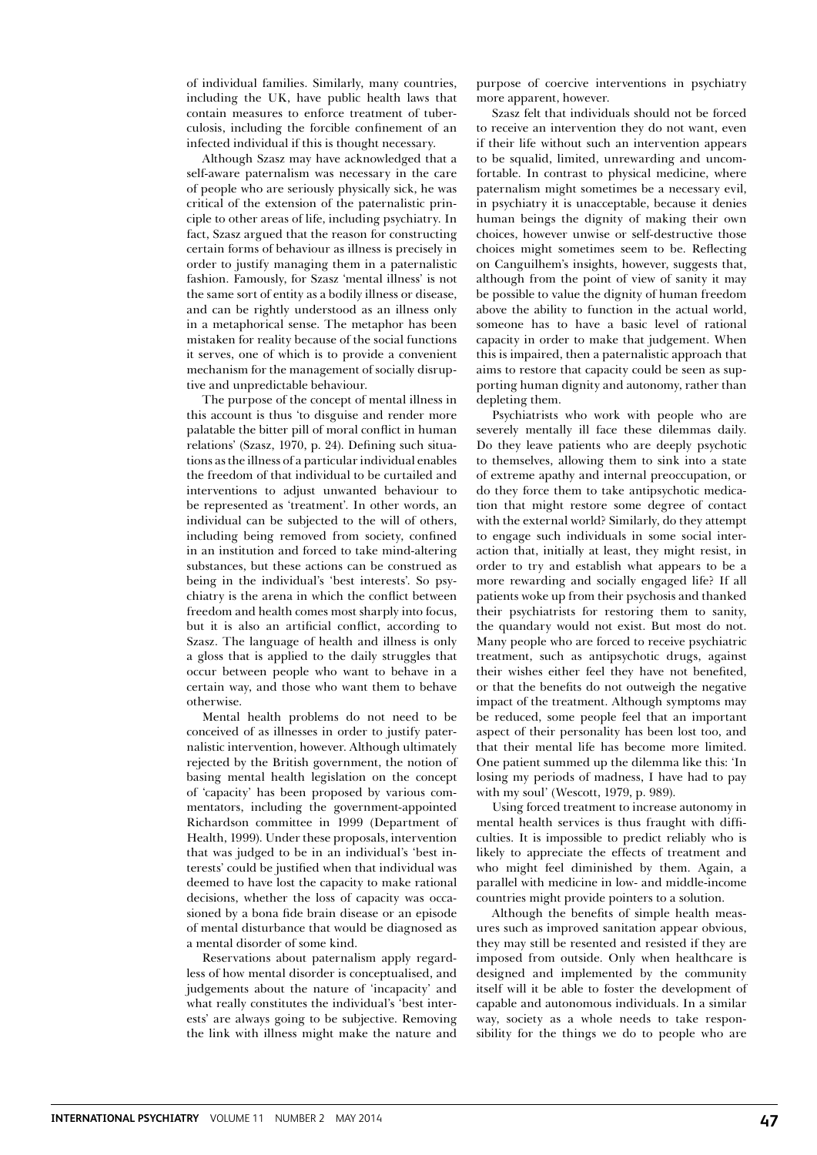of individual families. Similarly, many countries, including the UK, have public health laws that contain measures to enforce treatment of tuberculosis, including the forcible confinement of an infected individual if this is thought necessary.

Although Szasz may have acknowledged that a self-aware paternalism was necessary in the care of people who are seriously physically sick, he was critical of the extension of the paternalistic principle to other areas of life, including psychiatry. In fact, Szasz argued that the reason for constructing certain forms of behaviour as illness is precisely in order to justify managing them in a paternalistic fashion. Famously, for Szasz 'mental illness' is not the same sort of entity as a bodily illness or disease, and can be rightly understood as an illness only in a metaphorical sense. The metaphor has been mistaken for reality because of the social functions it serves, one of which is to provide a convenient mechanism for the management of socially disruptive and unpredictable behaviour.

The purpose of the concept of mental illness in this account is thus 'to disguise and render more palatable the bitter pill of moral conflict in human relations' (Szasz, 1970, p. 24). Defining such situations as the illness of a particular individual enables the freedom of that individual to be curtailed and interventions to adjust unwanted behaviour to be represented as 'treatment'. In other words, an individual can be subjected to the will of others, including being removed from society, confined in an institution and forced to take mind-altering substances, but these actions can be construed as being in the individual's 'best interests'. So psychiatry is the arena in which the conflict between freedom and health comes most sharply into focus, but it is also an artificial conflict, according to Szasz. The language of health and illness is only a gloss that is applied to the daily struggles that occur between people who want to behave in a certain way, and those who want them to behave otherwise.

Mental health problems do not need to be conceived of as illnesses in order to justify paternalistic intervention, however. Although ultimately rejected by the British government, the notion of basing mental health legislation on the concept of 'capacity' has been proposed by various commentators, including the government-appointed Richardson committee in 1999 (Department of Health, 1999). Under these proposals, intervention that was judged to be in an individual's 'best interests' could be justified when that individual was deemed to have lost the capacity to make rational decisions, whether the loss of capacity was occasioned by a bona fide brain disease or an episode of mental disturbance that would be diagnosed as a mental disorder of some kind.

Reservations about paternalism apply regardless of how mental disorder is conceptualised, and judgements about the nature of 'incapacity' and what really constitutes the individual's 'best interests' are always going to be subjective. Removing the link with illness might make the nature and purpose of coercive interventions in psychiatry more apparent, however.

Szasz felt that individuals should not be forced to receive an intervention they do not want, even if their life without such an intervention appears to be squalid, limited, unrewarding and uncomfortable. In contrast to physical medicine, where paternalism might sometimes be a necessary evil, in psychiatry it is unacceptable, because it denies human beings the dignity of making their own choices, however unwise or self-destructive those choices might sometimes seem to be. Reflecting on Canguilhem's insights, however, suggests that, although from the point of view of sanity it may be possible to value the dignity of human freedom above the ability to function in the actual world, someone has to have a basic level of rational capacity in order to make that judgement. When this is impaired, then a paternalistic approach that aims to restore that capacity could be seen as supporting human dignity and autonomy, rather than depleting them.

Psychiatrists who work with people who are severely mentally ill face these dilemmas daily. Do they leave patients who are deeply psychotic to themselves, allowing them to sink into a state of extreme apathy and internal preoccupation, or do they force them to take antipsychotic medication that might restore some degree of contact with the external world? Similarly, do they attempt to engage such individuals in some social interaction that, initially at least, they might resist, in order to try and establish what appears to be a more rewarding and socially engaged life? If all patients woke up from their psychosis and thanked their psychiatrists for restoring them to sanity, the quandary would not exist. But most do not. Many people who are forced to receive psychiatric treatment, such as antipsychotic drugs, against their wishes either feel they have not benefited, or that the benefits do not outweigh the negative impact of the treatment. Although symptoms may be reduced, some people feel that an important aspect of their personality has been lost too, and that their mental life has become more limited. One patient summed up the dilemma like this: 'In losing my periods of madness, I have had to pay with my soul' (Wescott, 1979, p. 989).

Using forced treatment to increase autonomy in mental health services is thus fraught with difficulties. It is impossible to predict reliably who is likely to appreciate the effects of treatment and who might feel diminished by them. Again, a parallel with medicine in low- and middle-income countries might provide pointers to a solution.

Although the benefits of simple health measures such as improved sanitation appear obvious, they may still be resented and resisted if they are imposed from outside. Only when healthcare is designed and implemented by the community itself will it be able to foster the development of capable and autonomous individuals. In a similar way, society as a whole needs to take responsibility for the things we do to people who are